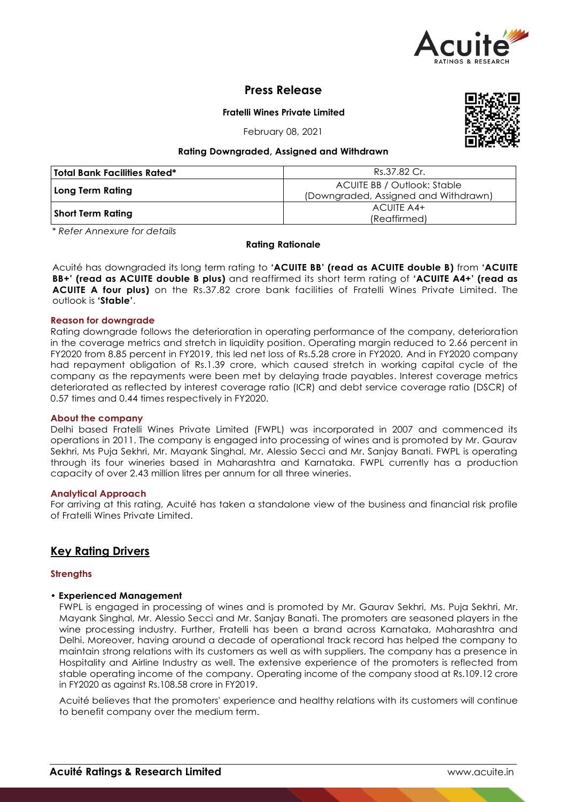

# **Press Release**

**Fratelli Wines Private Limited**

February 08, 2021



## **Rating Downgraded, Assigned and Withdrawn**

| <b>Total Bank Facilities Rated*</b> | Rs.37.82 Cr.                                                               |
|-------------------------------------|----------------------------------------------------------------------------|
| Long Term Rating                    | <b>ACUITE BB / Outlook: Stable</b><br>(Downgraded, Assigned and Withdrawn) |
| <b>Short Term Rating</b>            | ACUITE A4+<br>(Reaffirmed)                                                 |

*\* Refer Annexure for details*

## **Rating Rationale**

Acuité has downgraded its long term rating to **'ACUITE BB' (read as ACUITE double B)** from **'ACUITE BB+' (read as ACUITE double B plus)** and reaffirmed its short term rating of **'ACUITE A4+' (read as ACUITE A four plus)** on the Rs.37.82 crore bank facilities of Fratelli Wines Private Limited. The outlook is **'Stable'**.

## **Reason for downgrade**

Rating downgrade follows the deterioration in operating performance of the company, deterioration in the coverage metrics and stretch in liquidity position. Operating margin reduced to 2.66 percent in FY2020 from 8.85 percent in FY2019, this led net loss of Rs.5.28 crore in FY2020. And in FY2020 company had repayment obligation of Rs.1.39 crore, which caused stretch in working capital cycle of the company as the repayments were been met by delaying trade payables. Interest coverage metrics deteriorated as reflected by interest coverage ratio (ICR) and debt service coverage ratio (DSCR) of 0.57 times and 0.44 times respectively in FY2020.

## **About the company**

Delhi based Fratelli Wines Private Limited (FWPL) was incorporated in 2007 and commenced its operations in 2011. The company is engaged into processing of wines and is promoted by Mr. Gaurav Sekhri, Ms Puja Sekhri, Mr. Mayank Singhal, Mr. Alessio Secci and Mr. Sanjay Banati. FWPL is operating through its four wineries based in Maharashtra and Karnataka. FWPL currently has a production capacity of over 2.43 million litres per annum for all three wineries.

## **Analytical Approach**

For arriving at this rating, Acuité has taken a standalone view of the business and financial risk profile of Fratelli Wines Private Limited.

# **Key Rating Drivers**

## **Strengths**

## • **Experienced Management**

FWPL is engaged in processing of wines and is promoted by Mr. Gaurav Sekhri, Ms. Puja Sekhri, Mr. Mayank Singhal, Mr. Alessio Secci and Mr. Sanjay Banati. The promoters are seasoned players in the wine processing industry. Further, Fratelli has been a brand across Karnataka, Maharashtra and Delhi. Moreover, having around a decade of operational track record has helped the company to maintain strong relations with its customers as well as with suppliers. The company has a presence in Hospitality and Airline Industry as well. The extensive experience of the promoters is reflected from stable operating income of the company. Operating income of the company stood at Rs.109.12 crore in FY2020 as against Rs.108.58 crore in FY2019.

Acuité believes that the promoters' experience and healthy relations with its customers will continue to benefit company over the medium term.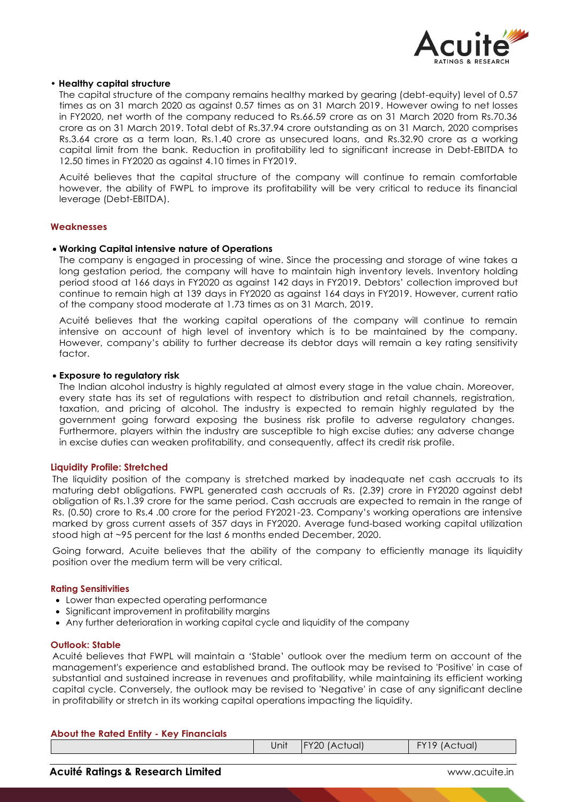

## • **Healthy capital structure**

The capital structure of the company remains healthy marked by gearing (debt-equity) level of 0.57 times as on 31 march 2020 as against 0.57 times as on 31 March 2019. However owing to net losses in FY2020, net worth of the company reduced to Rs.66.59 crore as on 31 March 2020 from Rs.70.36 crore as on 31 March 2019. Total debt of Rs.37.94 crore outstanding as on 31 March, 2020 comprises Rs.3.64 crore as a term loan, Rs.1.40 crore as unsecured loans, and Rs.32.90 crore as a working capital limit from the bank. Reduction in profitability led to significant increase in Debt-EBITDA to 12.50 times in FY2020 as against 4.10 times in FY2019.

Acuité believes that the capital structure of the company will continue to remain comfortable however, the ability of FWPL to improve its profitability will be very critical to reduce its financial leverage (Debt-EBITDA).

#### **Weaknesses**

#### **Working Capital intensive nature of Operations**

The company is engaged in processing of wine. Since the processing and storage of wine takes a long gestation period, the company will have to maintain high inventory levels. Inventory holding period stood at 166 days in FY2020 as against 142 days in FY2019. Debtors' collection improved but continue to remain high at 139 days in FY2020 as against 164 days in FY2019. However, current ratio of the company stood moderate at 1.73 times as on 31 March, 2019.

Acuité believes that the working capital operations of the company will continue to remain intensive on account of high level of inventory which is to be maintained by the company. However, company's ability to further decrease its debtor days will remain a key rating sensitivity factor.

#### **Exposure to regulatory risk**

The Indian alcohol industry is highly regulated at almost every stage in the value chain. Moreover, every state has its set of regulations with respect to distribution and retail channels, registration, taxation, and pricing of alcohol. The industry is expected to remain highly regulated by the government going forward exposing the business risk profile to adverse regulatory changes. Furthermore, players within the industry are susceptible to high excise duties; any adverse change in excise duties can weaken profitability, and consequently, affect its credit risk profile.

#### **Liquidity Profile: Stretched**

The liquidity position of the company is stretched marked by inadequate net cash accruals to its maturing debt obligations. FWPL generated cash accruals of Rs. (2.39) crore in FY2020 against debt obligation of Rs.1.39 crore for the same period. Cash accruals are expected to remain in the range of Rs. (0.50) crore to Rs.4 .00 crore for the period FY2021-23. Company's working operations are intensive marked by gross current assets of 357 days in FY2020. Average fund-based working capital utilization stood high at ~95 percent for the last 6 months ended December, 2020.

Going forward, Acuite believes that the ability of the company to efficiently manage its liquidity position over the medium term will be very critical.

#### **Rating Sensitivities**

- Lower than expected operating performance
- Significant improvement in profitability margins
- Any further deterioration in working capital cycle and liquidity of the company

#### **Outlook: Stable**

Acuité believes that FWPL will maintain a 'Stable' outlook over the medium term on account of the management's experience and established brand. The outlook may be revised to 'Positive' in case of substantial and sustained increase in revenues and profitability, while maintaining its efficient working capital cycle. Conversely, the outlook may be revised to 'Negative' in case of any significant decline in profitability or stretch in its working capital operations impacting the liquidity.

| <b>About the Rated Entity - Key Financials</b> |       |                       |               |
|------------------------------------------------|-------|-----------------------|---------------|
|                                                | Jnitl | <b>IFY20 (Actual)</b> | FY19 (Actual) |
|                                                |       |                       |               |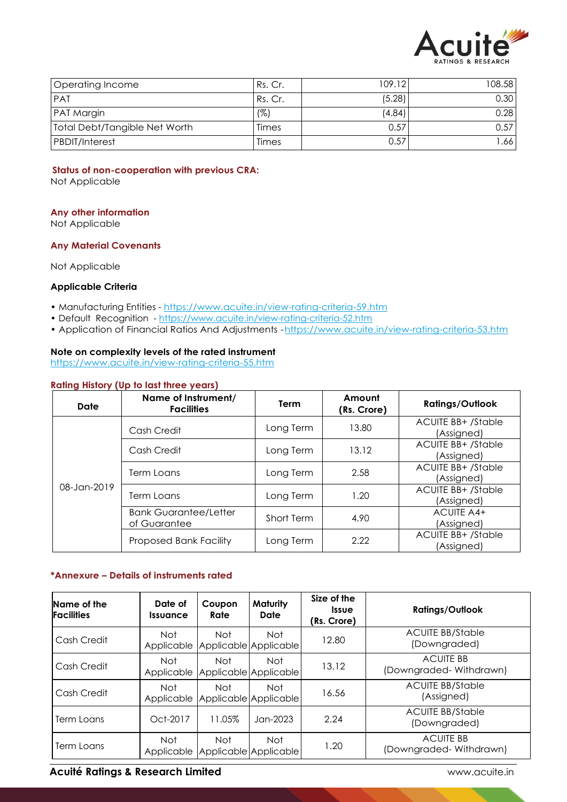

| <b>Operating Income</b>       | Rs. Cr. | 109.12 | 108.58 |
|-------------------------------|---------|--------|--------|
| <b>PAT</b>                    | Rs. Cr. | (5.28) | 0.30   |
| <b>PAT Margin</b>             | (%)     | (4.84) | 0.28   |
| Total Debt/Tangible Net Worth | Times   | 0.57   | 0.57   |
| <b>PBDIT/Interest</b>         | Times   | 0.57   | .66    |

## **Status of non-cooperation with previous CRA:**

Not Applicable

## **Any other information**

Not Applicable

## **Any Material Covenants**

Not Applicable

## **Applicable Criteria**

- Manufacturing Entities https://www.acuite.in/view-rating-criteria-59.htm
- Default Recognition https://www.acuite.in/view-rating-criteria-52.htm
- Application of Financial Ratios And Adjustments -https://www.acuite.in/view-rating-criteria-53.htm

## **Note on complexity levels of the rated instrument**

https://www.acuite.in/view-rating-criteria-55.htm

## **Rating History (Up to last three years)**

| Date        | Name of Instrument/<br><b>Facilities</b>     | Term       | Amount<br>(Rs. Crore) | <b>Ratings/Outlook</b>                  |
|-------------|----------------------------------------------|------------|-----------------------|-----------------------------------------|
|             | Cash Credit                                  | Long Term  | 13.80                 | <b>ACUITE BB+ /Stable</b><br>(Assigned) |
| Cash Credit |                                              | Long Term  | 13.12                 | <b>ACUITE BB+/Stable</b><br>(Assigned)  |
|             | Term Loans                                   | Long Term  | 2.58                  | <b>ACUITE BB+ /Stable</b><br>(Assigned) |
| 08-Jan-2019 | Term Loans                                   | Long Term  | 1.20                  | <b>ACUITE BB+/Stable</b><br>(Assigned)  |
|             | <b>Bank Guarantee/Letter</b><br>of Guarantee | Short Term | 4.90                  | <b>ACUITE A4+</b><br>(Assigned)         |
|             | <b>Proposed Bank Facility</b>                | Long Term  | 2.22                  | <b>ACUITE BB+ /Stable</b><br>(Assigned) |

## **\*Annexure – Details of instruments rated**

| Name of the<br><b>Facilities</b> | Date of<br><i><u><b>Issuance</b></u></i> | Coupon<br>Rate | Maturity<br>Date                    | Size of the<br><i><u><b>Issue</b></u></i><br>(Rs. Crore) | <b>Ratings/Outlook</b>                     |
|----------------------------------|------------------------------------------|----------------|-------------------------------------|----------------------------------------------------------|--------------------------------------------|
| Cash Credit                      | Not.<br>Applicable                       | <b>Not</b>     | Not<br>Applicable Applicable        | 12.80                                                    | <b>ACUITE BB/Stable</b><br>(Downgraded)    |
| Cash Credit                      | Not<br>Applicable                        | <b>Not</b>     | Not<br>Applicable Applicable        | 13.12                                                    | <b>ACUITE BB</b><br>(Downgraded-Withdrawn) |
| Cash Credit                      | <b>Not</b><br>Applicable                 | Not            | <b>Not</b><br>Applicable Applicable | 16.56                                                    | <b>ACUITE BB/Stable</b><br>(Assigned)      |
| Term Loans                       | Oct-2017                                 | 11.05%         | Jan-2023                            | 2.24                                                     | <b>ACUITE BB/Stable</b><br>(Downgraded)    |
| Term Loans                       | Not.<br>Applicable                       | Not            | Not.<br>Applicable Applicable       | 1.20                                                     | <b>ACUITE BB</b><br>(Downgraded-Withdrawn) |

## **Acuité Ratings & Research Limited Contract Contract Contract Contract Contract Contract Contract Contract Contract Contract Contract Contract Contract Contract Contract Contract Contract Contract Contract Contract Contrac**